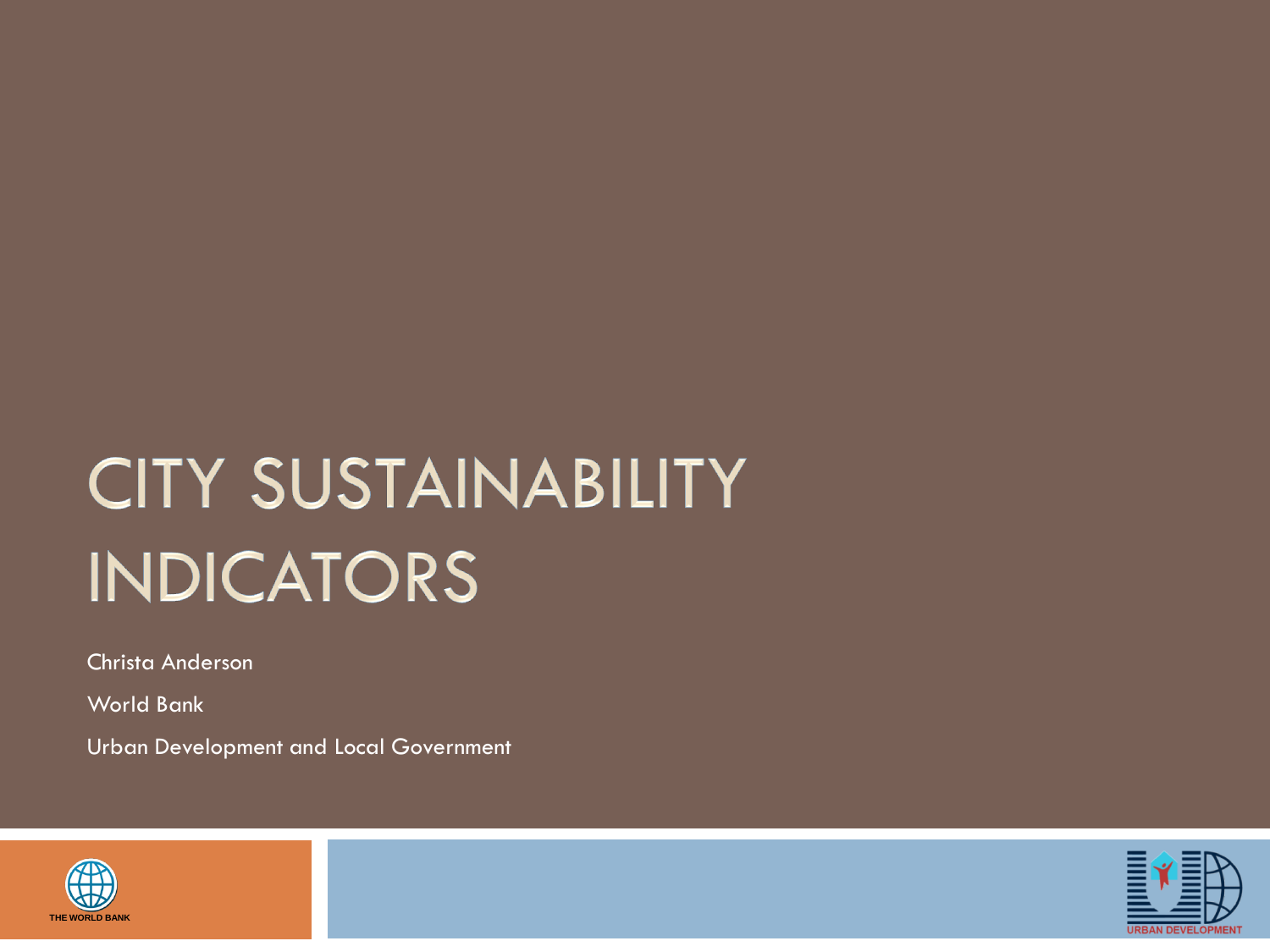# **CITY SUSTAINABILITY INDICATORS**

Christa Anderson

World Bank

Urban Development and Local Government



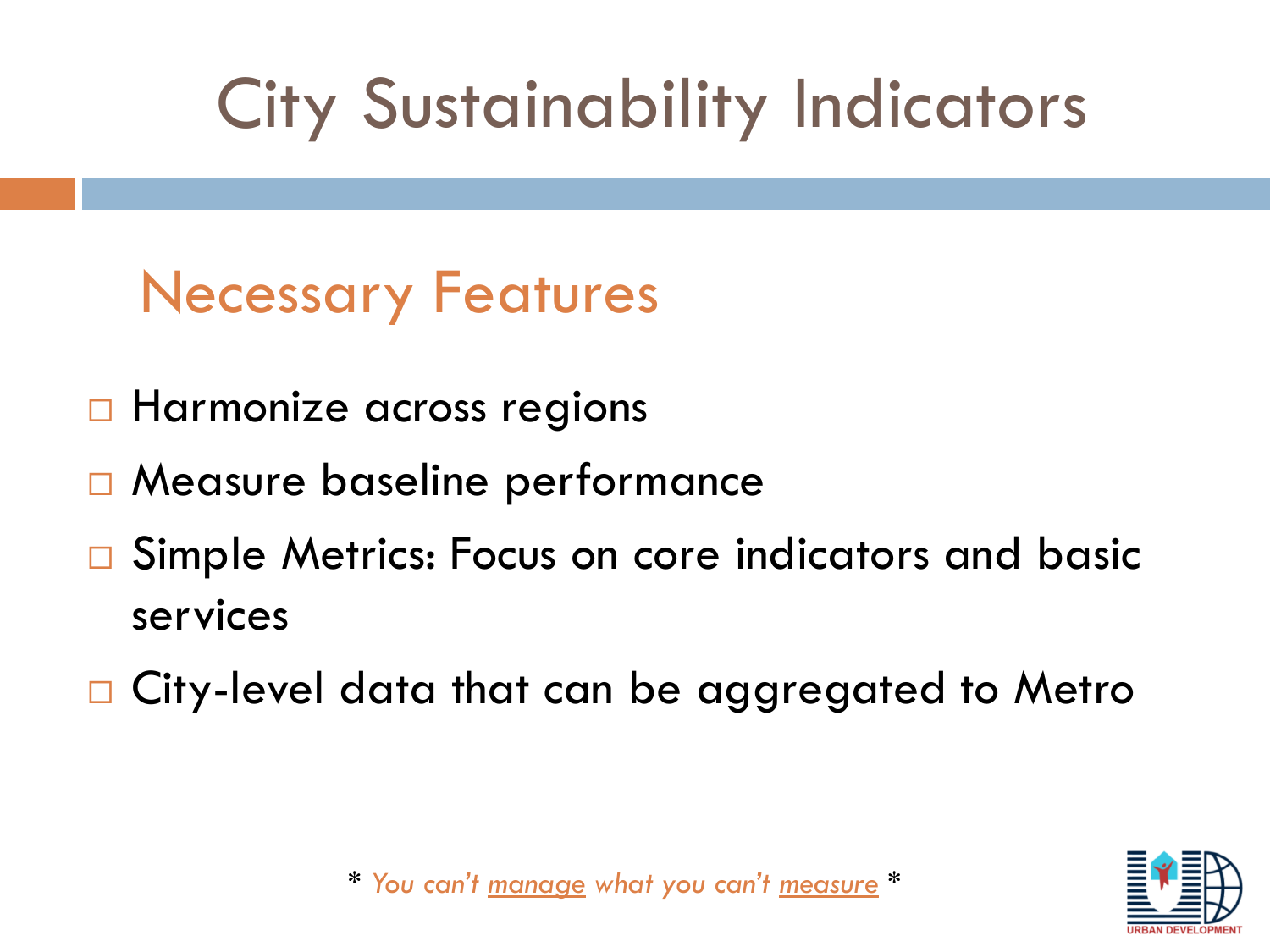# City Sustainability Indicators

## Necessary Features

- **Harmonize across regions**
- Measure baseline performance
- □ Simple Metrics: Focus on core indicators and basic services
- □ City-level data that can be aggregated to Metro



*\* You can't manage what you can't measure \**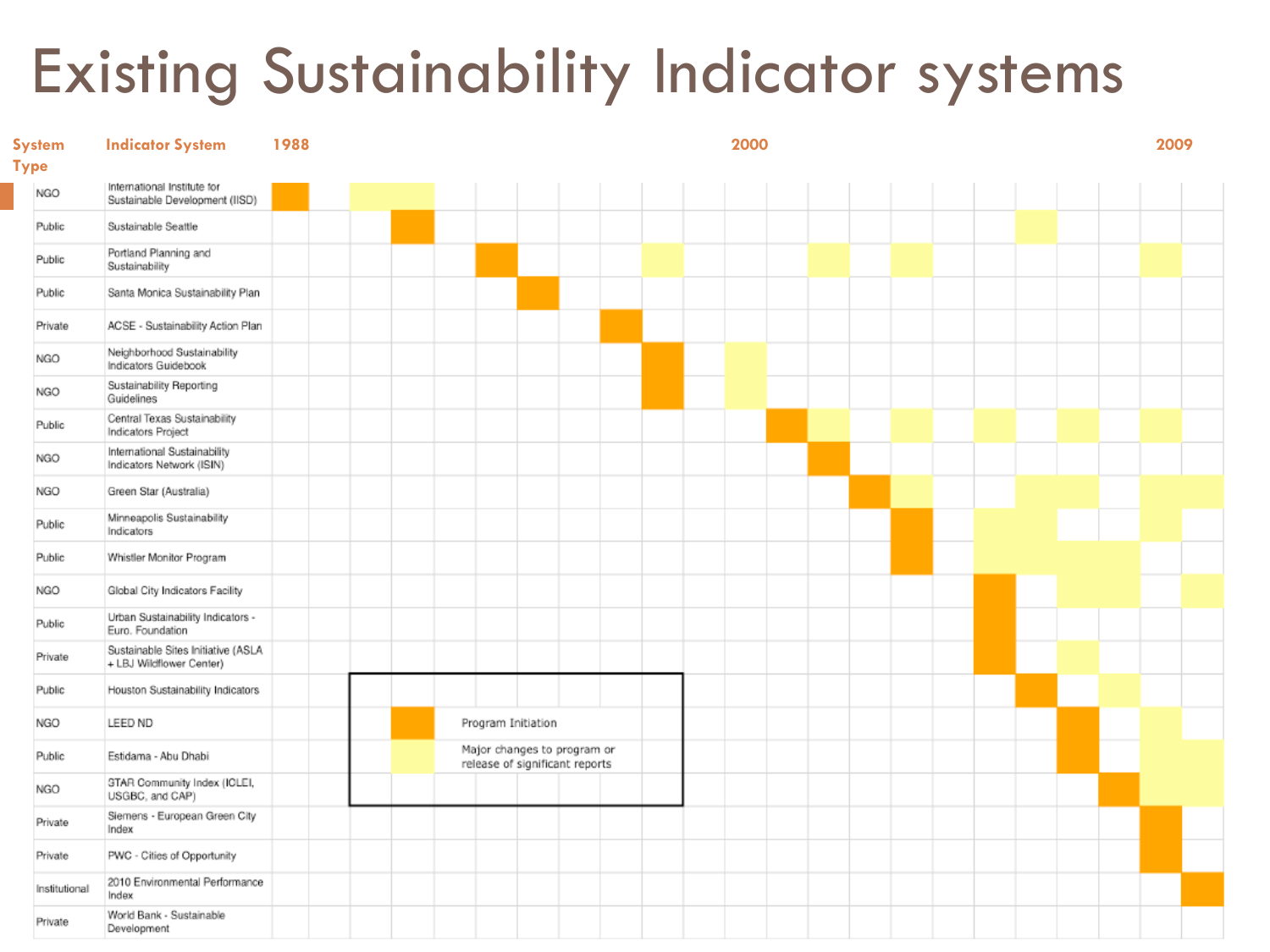## Existing Sustainability Indicator systems

| <b>System</b><br><b>Type</b> | <b>Indicator System</b>                                        | 1988 |  |  |                    |                                                               |  | 2000 |  |  |  |  | 2009 |  |
|------------------------------|----------------------------------------------------------------|------|--|--|--------------------|---------------------------------------------------------------|--|------|--|--|--|--|------|--|
| NGO                          | International Institute for<br>Sustainable Development (IISD)  |      |  |  |                    |                                                               |  |      |  |  |  |  |      |  |
| Public                       | Sustainable Seattle                                            |      |  |  |                    |                                                               |  |      |  |  |  |  |      |  |
| Public                       | Portland Planning and<br>Sustainability                        |      |  |  |                    |                                                               |  |      |  |  |  |  |      |  |
| Public                       | Santa Monica Sustainability Plan                               |      |  |  |                    |                                                               |  |      |  |  |  |  |      |  |
| Private                      | ACSE - Sustainability Action Plan                              |      |  |  |                    |                                                               |  |      |  |  |  |  |      |  |
| NGO                          | Neighborhood Sustainability<br>Indicators Guidebook            |      |  |  |                    |                                                               |  |      |  |  |  |  |      |  |
| <b>NGO</b>                   | Sustainability Reporting<br>Guidelines                         |      |  |  |                    |                                                               |  |      |  |  |  |  |      |  |
| Public                       | Central Texas Sustainability<br>Indicators Project             |      |  |  |                    |                                                               |  |      |  |  |  |  |      |  |
| <b>NGO</b>                   | International Sustainability<br>Indicators Network (ISIN)      |      |  |  |                    |                                                               |  |      |  |  |  |  |      |  |
| NGO                          | Green Star (Australia)                                         |      |  |  |                    |                                                               |  |      |  |  |  |  |      |  |
| Public                       | Minneapolis Sustainability<br>Indicators                       |      |  |  |                    |                                                               |  |      |  |  |  |  |      |  |
| Public                       | Whistler Monitor Program                                       |      |  |  |                    |                                                               |  |      |  |  |  |  |      |  |
| NGO                          | Global City Indicators Facility                                |      |  |  |                    |                                                               |  |      |  |  |  |  |      |  |
| Public                       | Urban Sustainability Indicators -<br>Euro. Foundation          |      |  |  |                    |                                                               |  |      |  |  |  |  |      |  |
| Private                      | Sustainable Sites Initiative (ASLA<br>+ LBJ Wildflower Center) |      |  |  |                    |                                                               |  |      |  |  |  |  |      |  |
| Public                       | Houston Sustainability Indicators                              |      |  |  |                    |                                                               |  |      |  |  |  |  |      |  |
| NGO                          | LEED ND                                                        |      |  |  | Program Initiation |                                                               |  |      |  |  |  |  |      |  |
| Public                       | Estidama - Abu Dhabi                                           |      |  |  |                    | Major changes to program or<br>release of significant reports |  |      |  |  |  |  |      |  |
| NGO                          | STAR Community Index (ICLEI,<br>USGBC, and CAP)                |      |  |  |                    |                                                               |  |      |  |  |  |  |      |  |
| Private                      | Siemens - European Green City<br>Index                         |      |  |  |                    |                                                               |  |      |  |  |  |  |      |  |
| Private                      | PWC - Cities of Opportunity                                    |      |  |  |                    |                                                               |  |      |  |  |  |  |      |  |
| Institutional                | 2010 Environmental Performance<br>Index                        |      |  |  |                    |                                                               |  |      |  |  |  |  |      |  |
| Private                      | World Bank - Sustainable<br>Development                        |      |  |  |                    |                                                               |  |      |  |  |  |  |      |  |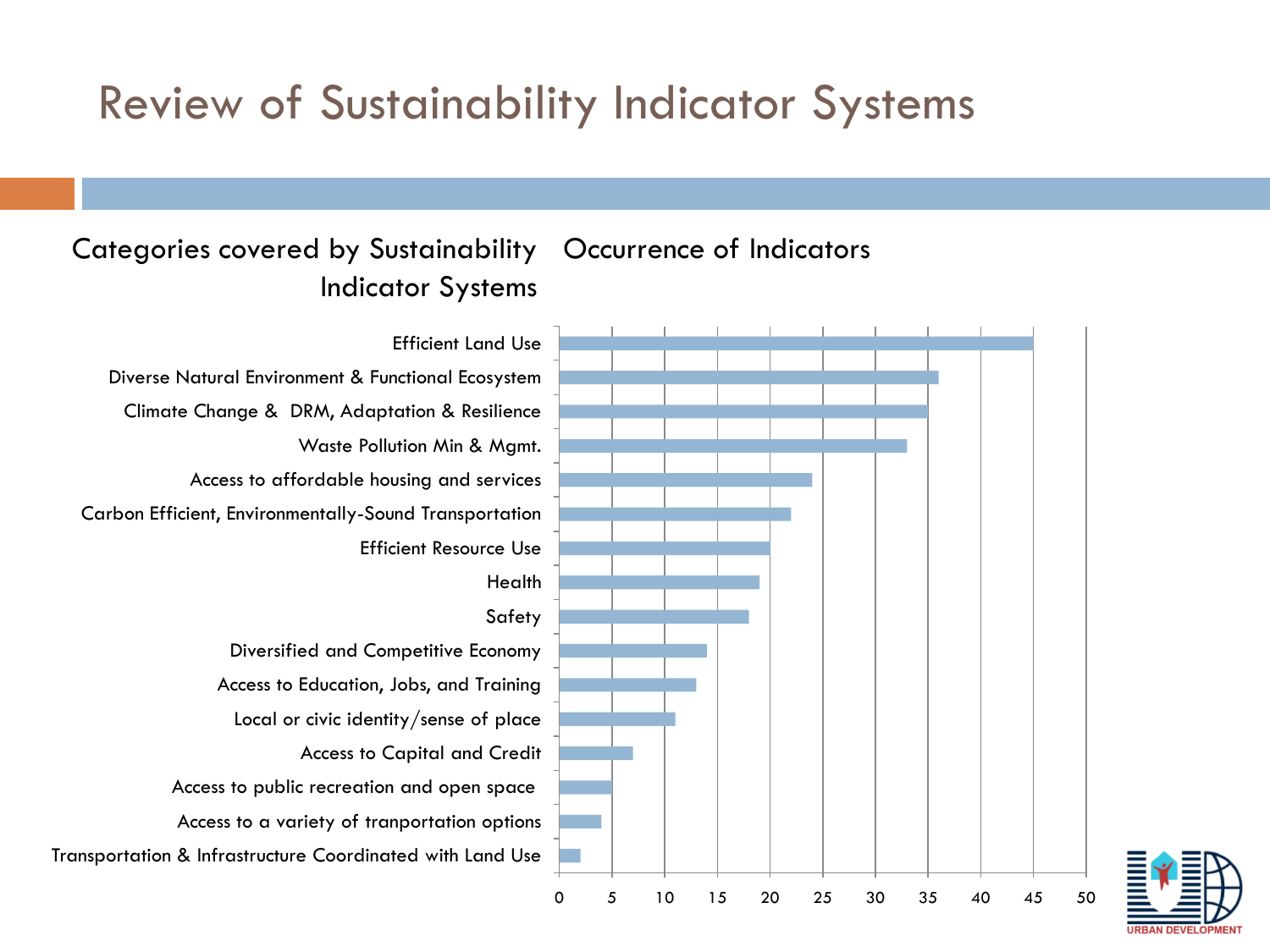### Review of Sustainability Indicator Systems

#### Categories covered by Sustainability Occurrence of Indicators Indicator Systems

# 0 5 10 15 20 25 30 35 40 45 50 Efficient Land Use

Transportation & Infrastructure Coordinated with Land Use Access to a variety of tranportation options Access to public recreation and open space Access to Capital and Credit Local or civic identity/sense of place Access to Education, Jobs, and Training Diversified and Competitive Economy Safety Health Efficient Resource Use Carbon Efficient, Environmentally-Sound Transportation Access to affordable housing and services Waste Pollution Min & Mgmt. Climate Change & DRM, Adaptation & Resilience Diverse Natural Environment & Functional Ecosystem

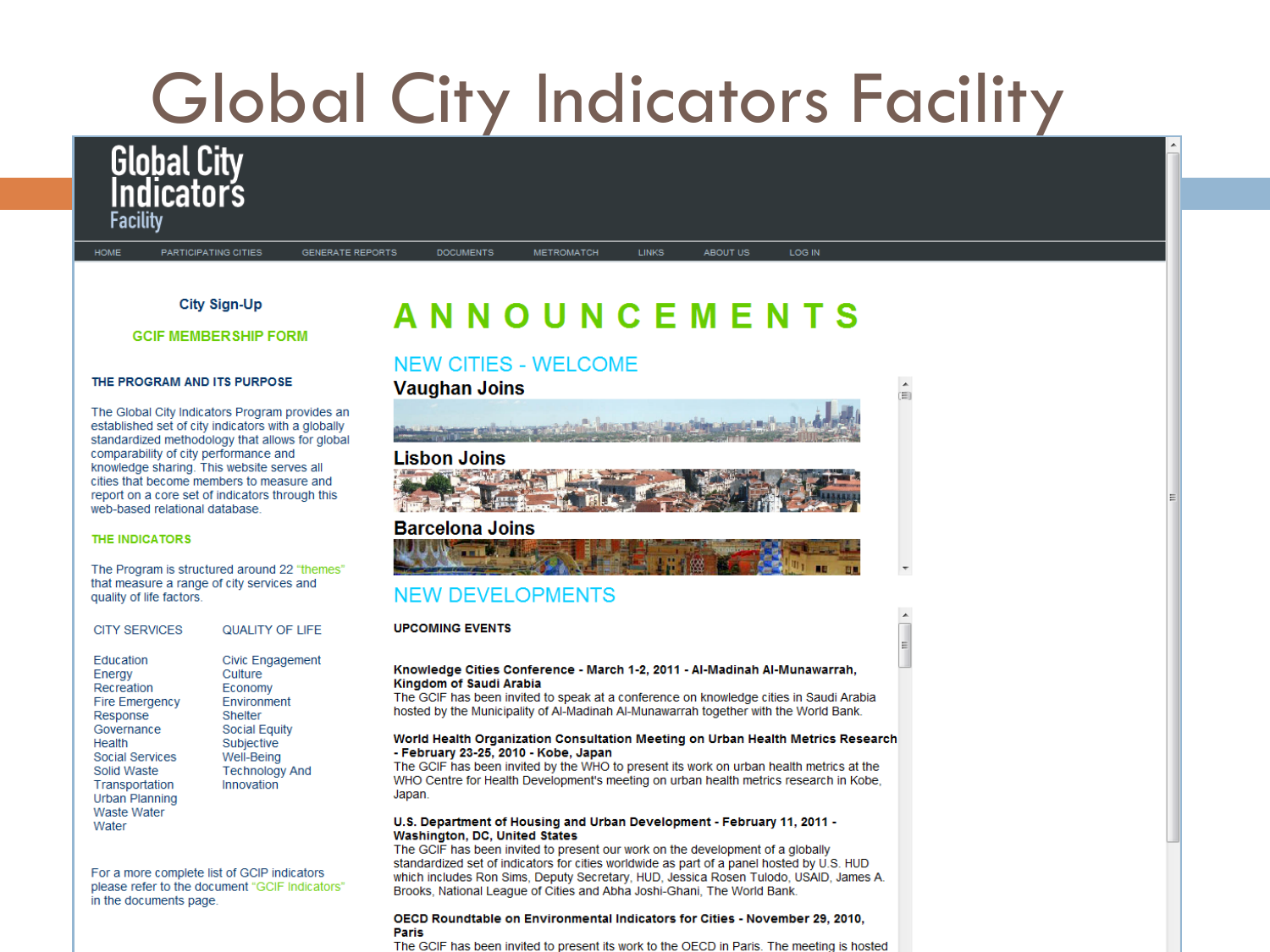

#### THE PROGRAM AND ITS PURPOSE

The Global City Indicators Program provides an established set of city indicators with a globally standardized methodology that allows for global comparability of city performance and knowledge sharing. This website serves all cities that become members to measure and report on a core set of indicators through this web-based relational database.

#### **THE INDICATORS**

The Program is structured around 22 "themes" that measure a range of city services and quality of life factors.

| <b>CITY SERVICES</b>                                                                                                                                                                                              | <b>QUALITY OF LIFE</b>                                                                                                                                                    |
|-------------------------------------------------------------------------------------------------------------------------------------------------------------------------------------------------------------------|---------------------------------------------------------------------------------------------------------------------------------------------------------------------------|
| <b>Education</b><br>Energy<br>Recreation<br><b>Fire Emergency</b><br>Response<br>Governance<br>Health<br>Social Services<br>Solid Waste<br>Transportation<br><b>Urban Planning</b><br><b>Waste Water</b><br>Water | <b>Civic Engagement</b><br>Culture<br>Economy<br><b>Environment</b><br>Shelter<br><b>Social Equity</b><br>Subjective<br>Well-Being<br><b>Technology And</b><br>Innovation |

For a more complete list of GCIP indicators please refer to the document "GCIF Indicators" in the documents page.

#### NEW CITIES - WEI COME



ren

#### **Lisbon Joins**



#### **Barcelona Joins ULLIUM THE MANUFACTURE**

#### **NEW DEVELOPMENTS**

**UPCOMING EVENTS** 

#### Knowledge Cities Conference - March 1-2, 2011 - Al-Madinah Al-Munawarrah, Kingdom of Saudi Arabia

The GCIF has been invited to speak at a conference on knowledge cities in Saudi Arabia hosted by the Municipality of Al-Madinah Al-Munawarrah together with the World Bank.

#### World Health Organization Consultation Meeting on Urban Health Metrics Research - February 23-25, 2010 - Kobe, Japan

The GCIF has been invited by the WHO to present its work on urban health metrics at the WHO Centre for Health Development's meeting on urban health metrics research in Kobe, Japan.

#### U.S. Department of Housing and Urban Development - February 11, 2011 -Washington, DC, United States

The GCIF has been invited to present our work on the development of a globally standardized set of indicators for cities worldwide as part of a panel hosted by U.S. HUD which includes Ron Sims, Deputy Secretary, HUD, Jessica Rosen Tulodo, USAID, James A. Brooks, National League of Cities and Abha Joshi-Ghani. The World Bank.

#### OECD Roundtable on Environmental Indicators for Cities - November 29, 2010, Paris

The GCIF has been invited to present its work to the OECD in Paris. The meeting is hosted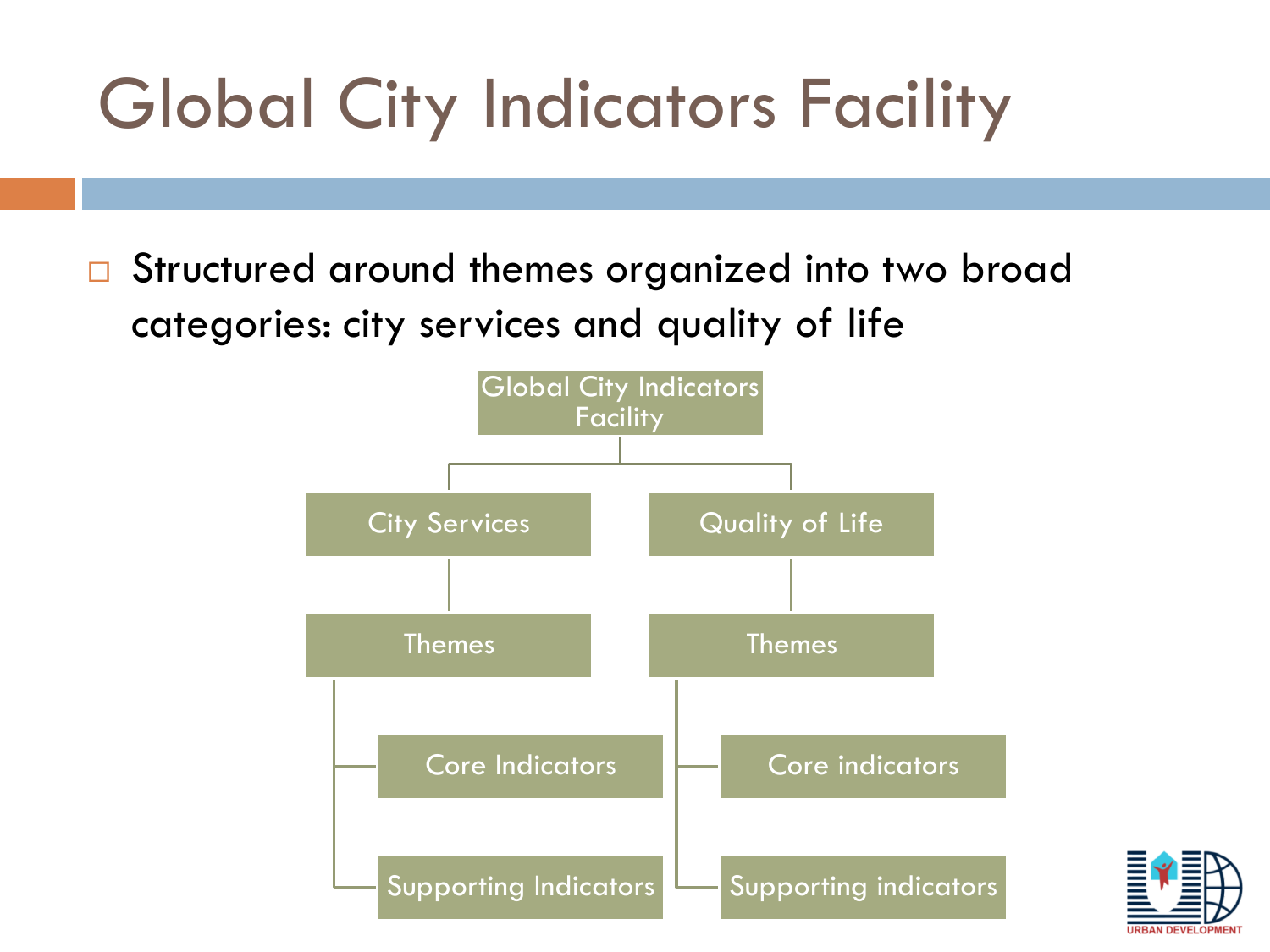□ Structured around themes organized into two broad categories: city services and quality of life



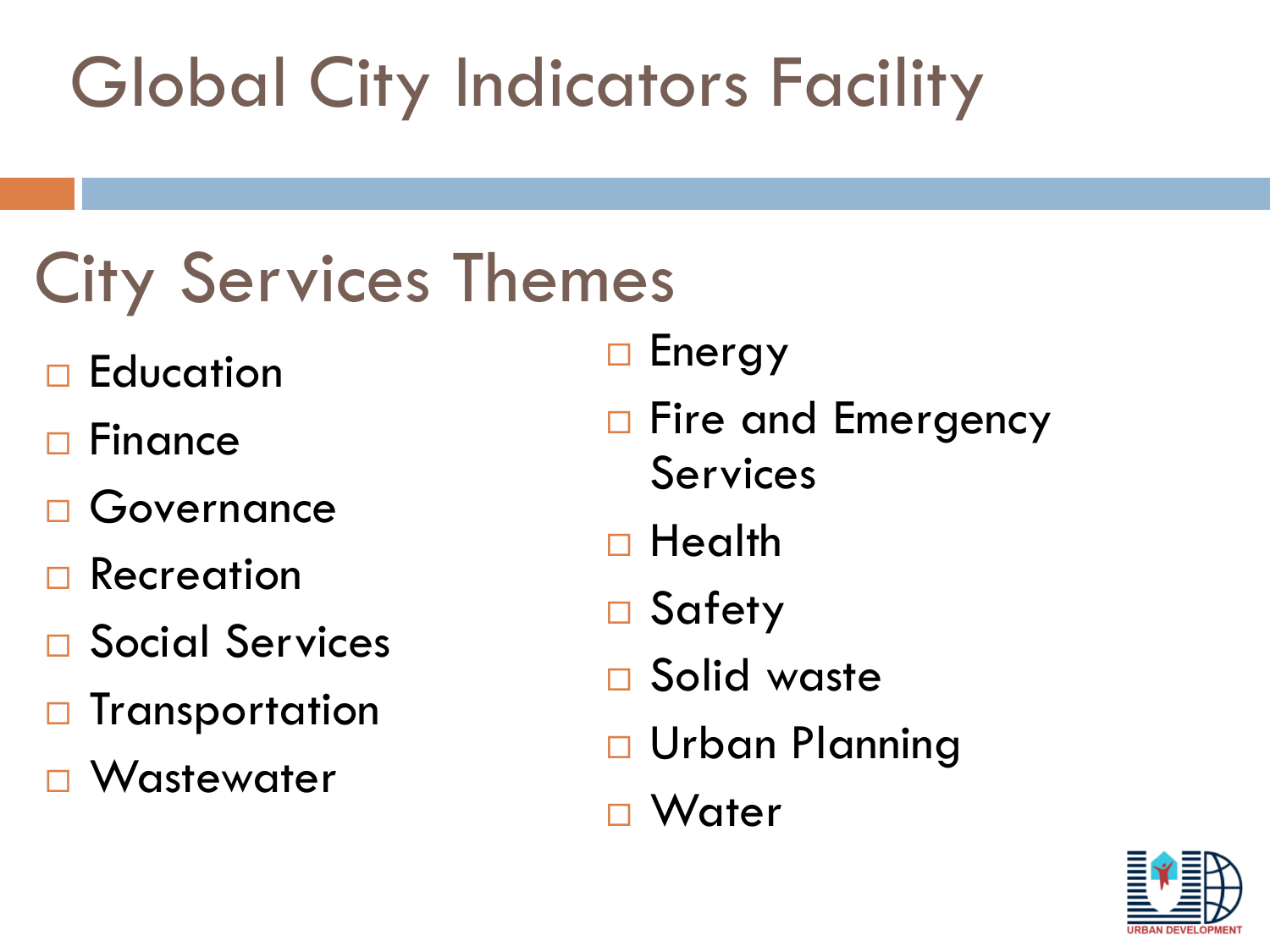## City Services Themes

- **Education**
- Finance
- □ Governance
- Recreation
- □ Social Services
- $\Box$  Transportation
- □ Wastewater
- □ Energy
- □ Fire and Emergency Services
- □ Health
- □ Safety
- □ Solid waste
- □ Urban Planning
- Water

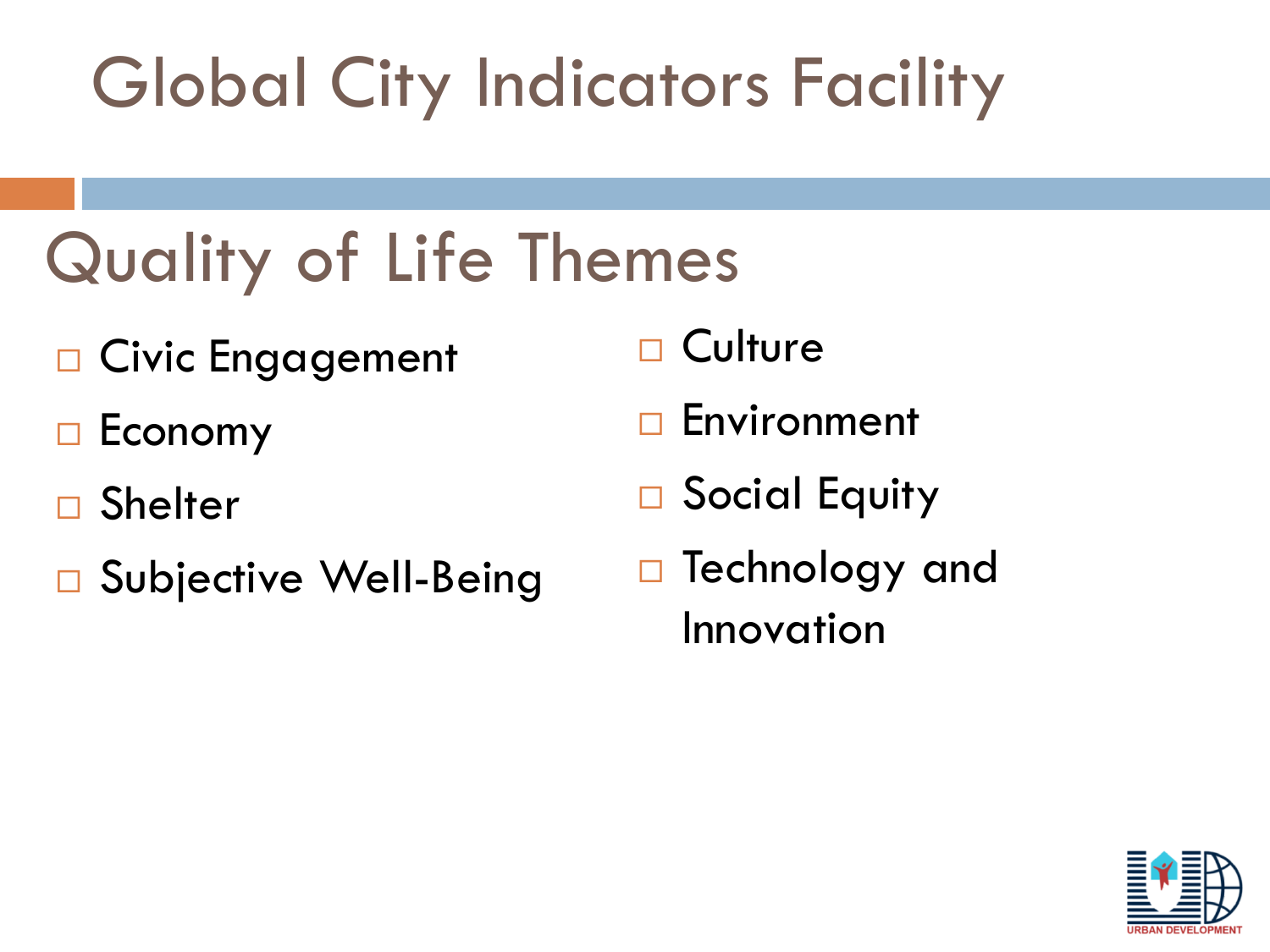## Quality of Life Themes

- □ Civic Engagement
- $\Box$  Economy
- **Shelter**
- □ Subjective Well-Being
- **Culture**
- Environment
- □ Social Equity
- □ Technology and Innovation

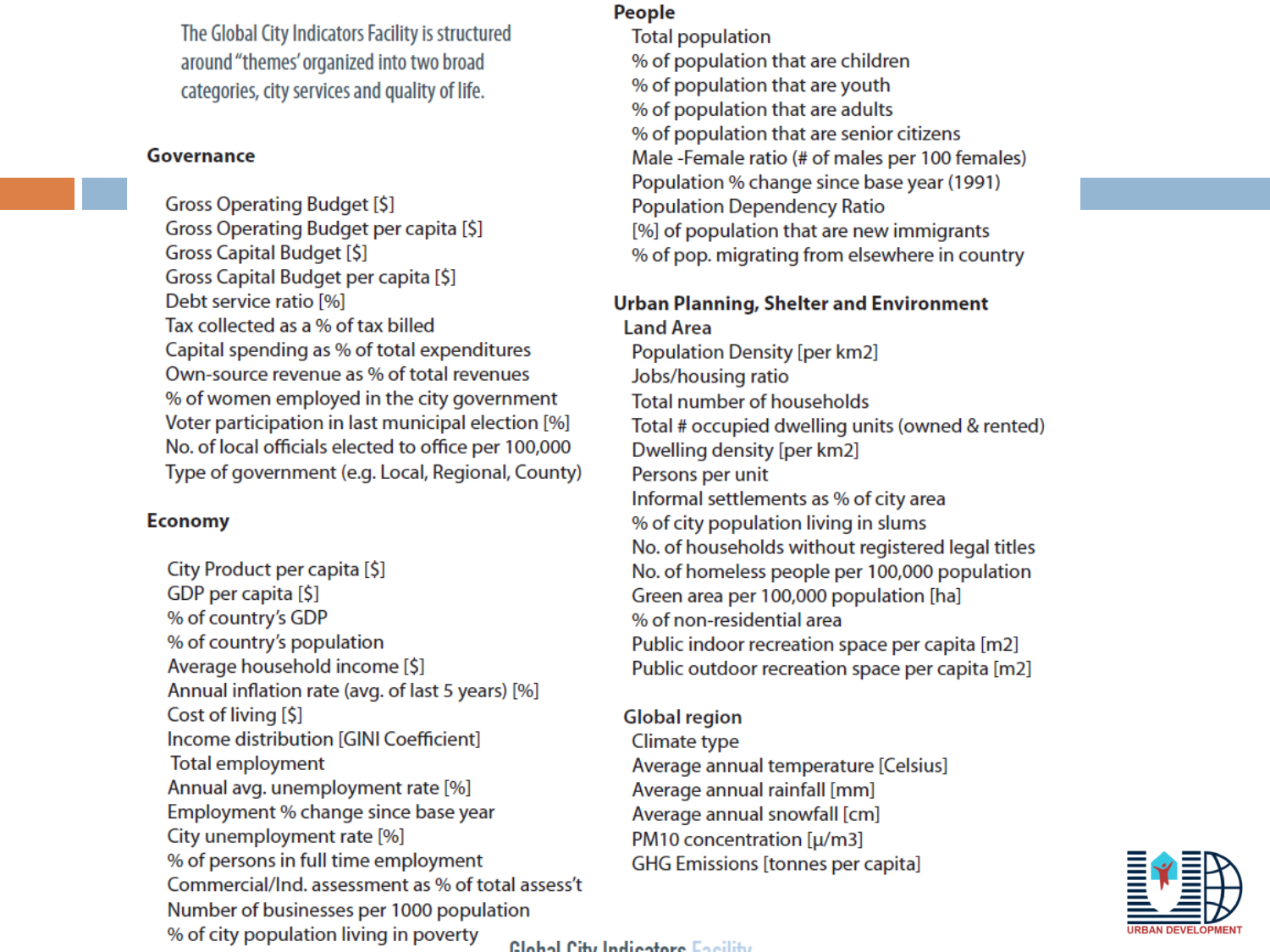The Global City Indicators Facility is structured around "themes' organized into two broad categories, city services and quality of life.

#### **Governance**

Gross Operating Budget [\$] Gross Operating Budget per capita [\$] **Gross Capital Budget [\$]** Gross Capital Budget per capita [\$] Debt service ratio [%] Tax collected as a % of tax billed Capital spending as % of total expenditures Own-source revenue as % of total revenues % of women employed in the city government Voter participation in last municipal election [%] No. of local officials elected to office per 100,000 Type of government (e.g. Local, Regional, County)

#### **Economy**

City Product per capita [\$] GDP per capita [\$] % of country's GDP % of country's population Average household income [\$] Annual inflation rate (avg. of last 5 years) [%] Cost of living [\$] Income distribution [GINI Coefficient] **Total employment** Annual avg. unemployment rate [%] Employment % change since base year City unemployment rate [%] % of persons in full time employment Commercial/Ind. assessment as % of total assess't Number of businesses per 1000 population % of city population living in poverty

#### People

**Total population** % of population that are children % of population that are youth % of population that are adults % of population that are senior citizens Male-Female ratio (# of males per 100 females) Population % change since base year (1991) **Population Dependency Ratio** [%] of population that are new immigrants % of pop. migrating from elsewhere in country

#### **Urban Planning, Shelter and Environment Land Area**

**Population Density [per km2]** Jobs/housing ratio **Total number of households** Total # occupied dwelling units (owned & rented) Dwelling density [per km2] Persons per unit Informal settlements as % of city area % of city population living in slums No. of households without registered legal titles No. of homeless people per 100,000 population Green area per 100,000 population [ha] % of non-residential area Public indoor recreation space per capita [m2] Public outdoor recreation space per capita [m2]

#### **Global region**

Climate type Average annual temperature [Celsius] Average annual rainfall [mm] Average annual snowfall [cm] PM10 concentration [µ/m3] **GHG Emissions [tonnes per capita]** 



Clobal City Indiantera English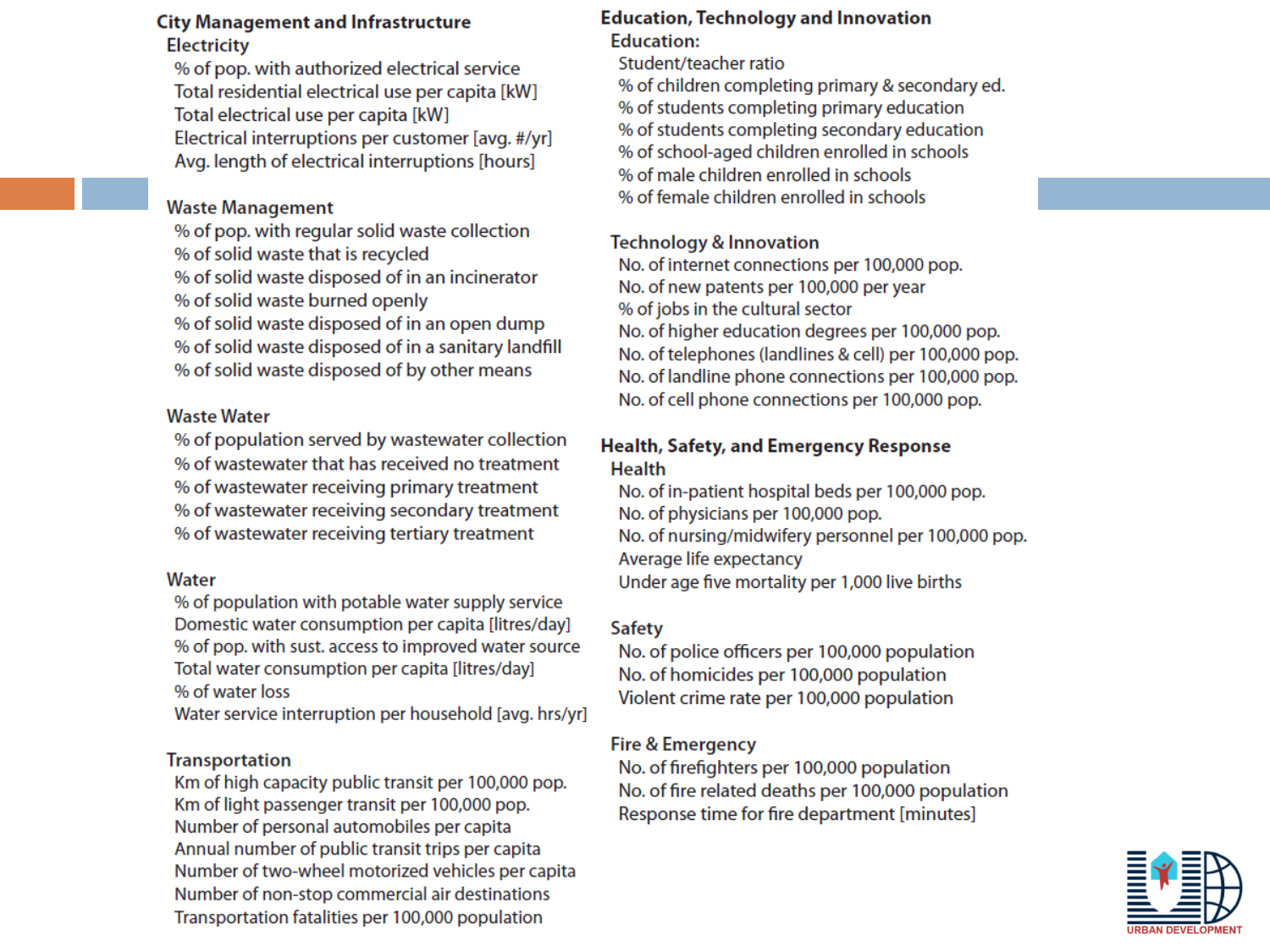#### **City Management and Infrastructure Electricity**

% of pop. with authorized electrical service Total residential electrical use per capita [kW] Total electrical use per capita [kW] Electrical interruptions per customer [avg. #/yr] Avg. length of electrical interruptions [hours]

#### **Waste Management**

% of pop. with regular solid waste collection % of solid waste that is recycled % of solid waste disposed of in an incinerator % of solid waste burned openly % of solid waste disposed of in an open dump % of solid waste disposed of in a sanitary landfill % of solid waste disposed of by other means

#### **Waste Water**

% of population served by wastewater collection % of wastewater that has received no treatment % of wastewater receiving primary treatment % of wastewater receiving secondary treatment % of wastewater receiving tertiary treatment

#### Water

% of population with potable water supply service Domestic water consumption per capita [litres/day] % of pop. with sust. access to improved water source Total water consumption per capita [litres/day] % of water loss

Water service interruption per household [avg. hrs/yr]

#### **Transportation**

Km of high capacity public transit per 100,000 pop. Km of light passenger transit per 100,000 pop. Number of personal automobiles per capita Annual number of public transit trips per capita Number of two-wheel motorized vehicles per capita Number of non-stop commercial air destinations Transportation fatalities per 100,000 population

#### **Education, Technology and Innovation Education:**

Student/teacher ratio % of children completing primary & secondary ed. % of students completing primary education % of students completing secondary education % of school-aged children enrolled in schools % of male children enrolled in schools % of female children enrolled in schools

#### **Technology & Innovation**

No. of internet connections per 100,000 pop. No. of new patents per 100,000 per year % of jobs in the cultural sector No. of higher education degrees per 100,000 pop. No. of telephones (landlines & cell) per 100,000 pop. No. of landline phone connections per 100,000 pop. No. of cell phone connections per 100,000 pop.

#### Health, Safety, and Emergency Response **Health**

No. of in-patient hospital beds per 100,000 pop. No. of physicians per 100,000 pop. No. of nursing/midwifery personnel per 100,000 pop. Average life expectancy Under age five mortality per 1,000 live births

#### **Safety**

No. of police officers per 100,000 population No. of homicides per 100,000 population Violent crime rate per 100,000 population

#### **Fire & Emergency**

No. of firefighters per 100,000 population No. of fire related deaths per 100,000 population Response time for fire department [minutes]

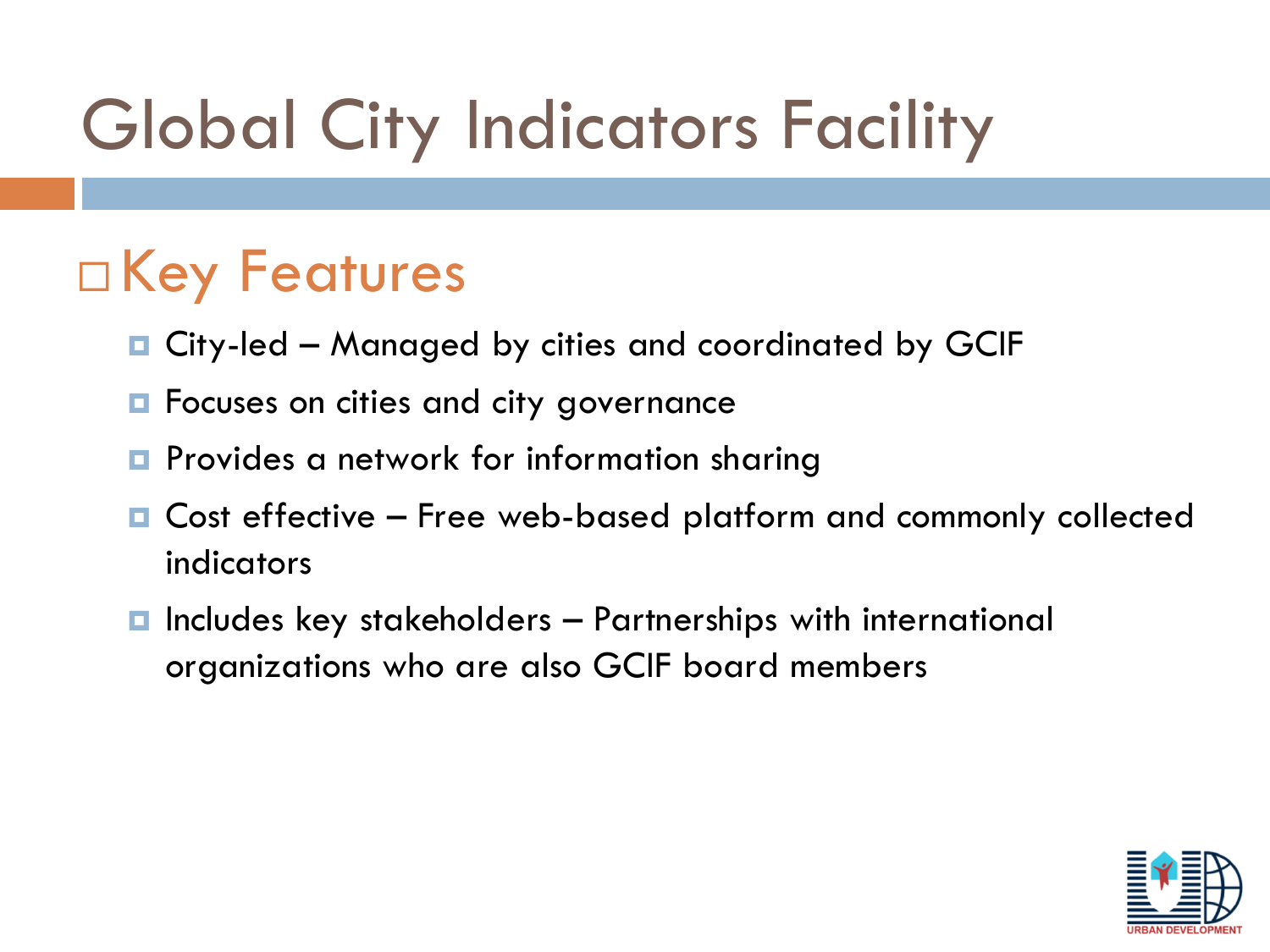## □ Key Features

- City-led Managed by cities and coordinated by GCIF
- **E** Focuses on cities and city governance
- **P** Provides a network for information sharing
- Cost effective Free web-based platform and commonly collected indicators
- $\blacksquare$  Includes key stakeholders  $-$  Partnerships with international organizations who are also GCIF board members

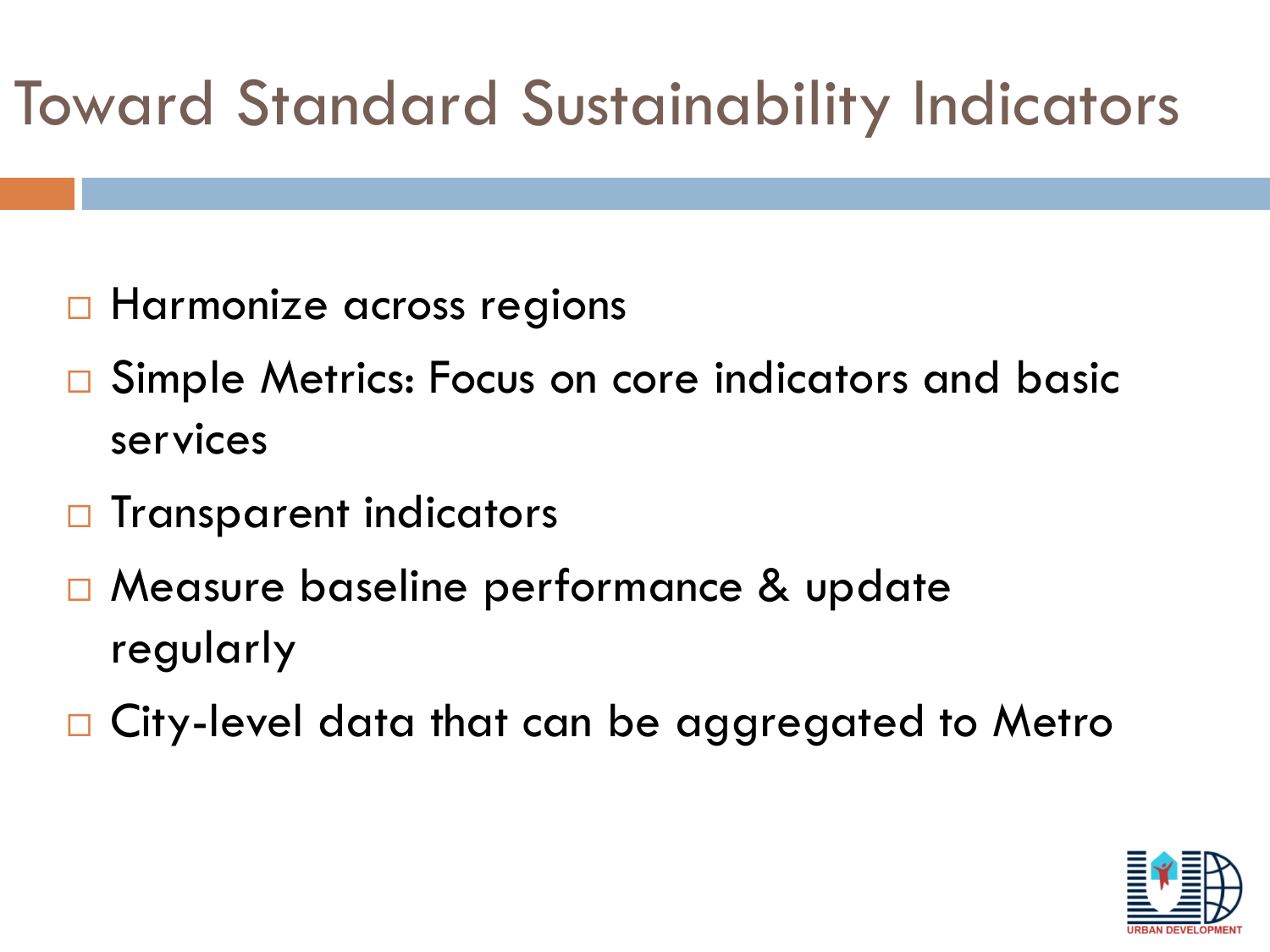## Toward Standard Sustainability Indicators

- **Harmonize across regions**
- □ Simple Metrics: Focus on core indicators and basic services
- $\Box$  Transparent indicators
- Measure baseline performance & update regularly
- □ City-level data that can be aggregated to Metro